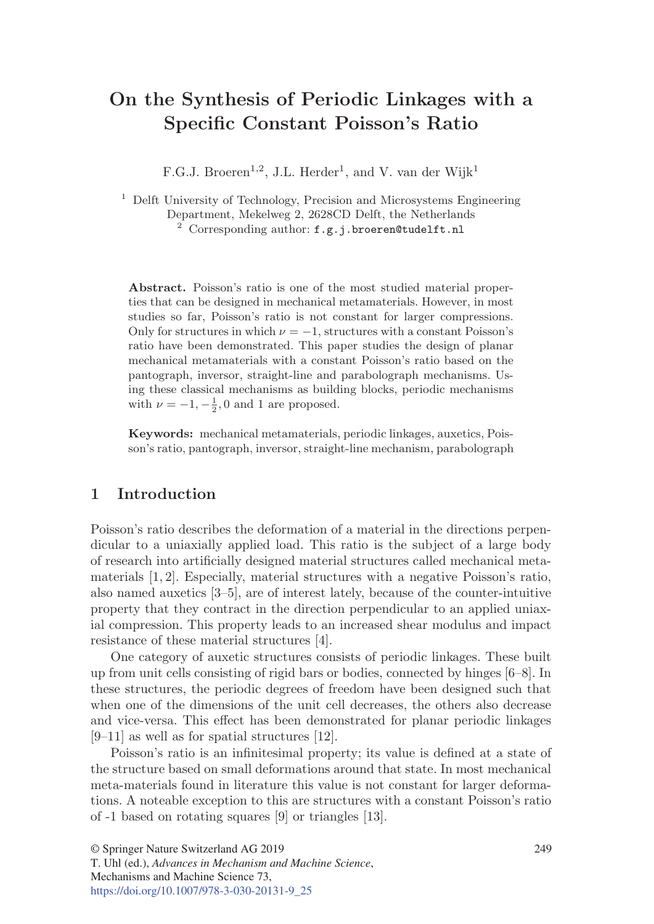# **On the Synthesis of Periodic Linkages with a Specific Constant Poisson's Ratio**

F.G.J. Broeren<sup>1,2</sup>, J.L. Herder<sup>1</sup>, and V. van der Wijk<sup>1</sup>

<sup>1</sup> Delft University of Technology, Precision and Microsystems Engineering Department, Mekelweg 2, 2628CD Delft, the Netherlands  $2^{2}$  Corresponding author:  $f.g.j.broeren@tudelft.nl$ 

**Abstract.** Poisson's ratio is one of the most studied material properties that can be designed in mechanical metamaterials. However, in most studies so far, Poisson's ratio is not constant for larger compressions. Only for structures in which  $\nu = -1$ , structures with a constant Poisson's ratio have been demonstrated. This paper studies the design of planar mechanical metamaterials with a constant Poisson's ratio based on the pantograph, inversor, straight-line and parabolograph mechanisms. Using these classical mechanisms as building blocks, periodic mechanisms with  $\nu = -1, -\frac{1}{2}, 0$  and 1 are proposed.

**Keywords:** mechanical metamaterials, periodic linkages, auxetics, Poisson's ratio, pantograph, inversor, straight-line mechanism, parabolograph

# **1 Introduction**

Poisson's ratio describes the deformation of a material in the directions perpendicular to a uniaxially applied load. This ratio is the subject of a large body of research into artificially designed material structures called mechanical metamaterials [1, 2]. Especially, material structures with a negative Poisson's ratio, also named auxetics [3–5], are of interest lately, because of the counter-intuitive property that they contract in the direction perpendicular to an applied uniaxial compression. This property leads to an increased shear modulus and impact resistance of these material structures [4].

One category of auxetic structures consists of periodic linkages. These built up from unit cells consisting of rigid bars or bodies, connected by hinges [6–8]. In these structures, the periodic degrees of freedom have been designed such that when one of the dimensions of the unit cell decreases, the others also decrease and vice-versa. This effect has been demonstrated for planar periodic linkages [9–11] as well as for spatial structures [12].

Poisson's ratio is an infinitesimal property; its value is defined at a state of the structure based on small deformations around that state. In most mechanical meta-materials found in literature this value is not constant for larger deformations. A noteable exception to this are structures with a constant Poisson's ratio of -1 based on rotating squares [9] or triangles [13].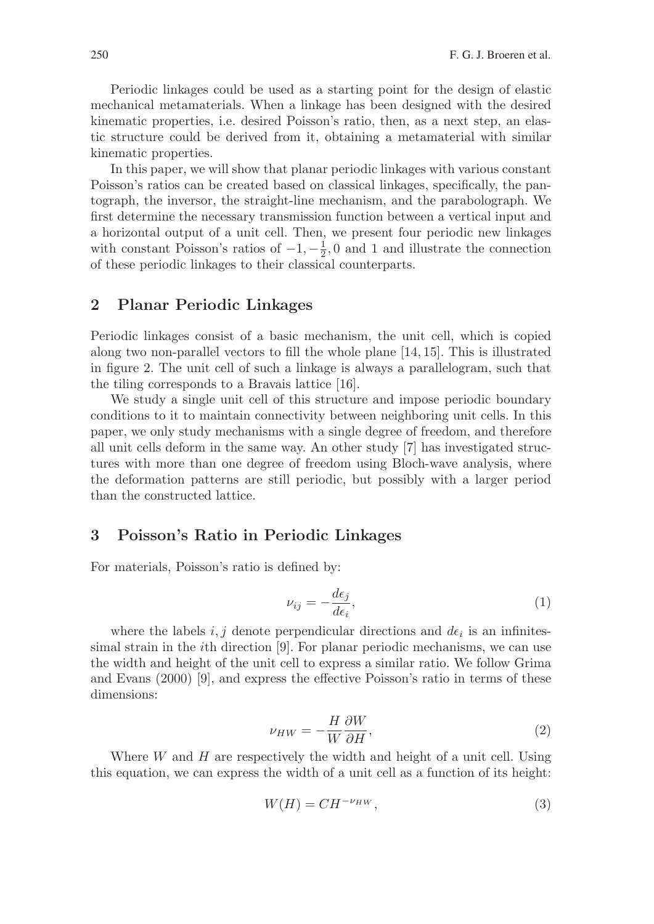Periodic linkages could be used as a starting point for the design of elastic mechanical metamaterials. When a linkage has been designed with the desired kinematic properties, i.e. desired Poisson's ratio, then, as a next step, an elastic structure could be derived from it, obtaining a metamaterial with similar kinematic properties.

In this paper, we will show that planar periodic linkages with various constant Poisson's ratios can be created based on classical linkages, specifically, the pantograph, the inversor, the straight-line mechanism, and the parabolograph. We first determine the necessary transmission function between a vertical input and a horizontal output of a unit cell. Then, we present four periodic new linkages with constant Poisson's ratios of  $-1, -\frac{1}{2}, 0$  and 1 and illustrate the connection of these periodic linkages to their classical counterparts.

# **2 Planar Periodic Linkages**

Periodic linkages consist of a basic mechanism, the unit cell, which is copied along two non-parallel vectors to fill the whole plane [14, 15]. This is illustrated in figure 2. The unit cell of such a linkage is always a parallelogram, such that the tiling corresponds to a Bravais lattice [16].

We study a single unit cell of this structure and impose periodic boundary conditions to it to maintain connectivity between neighboring unit cells. In this paper, we only study mechanisms with a single degree of freedom, and therefore all unit cells deform in the same way. An other study [7] has investigated structures with more than one degree of freedom using Bloch-wave analysis, where the deformation patterns are still periodic, but possibly with a larger period than the constructed lattice.

# **3 Poisson's Ratio in Periodic Linkages**

For materials, Poisson's ratio is defined by:

$$
\nu_{ij} = -\frac{d\epsilon_j}{d\epsilon_i},\tag{1}
$$

where the labels  $i, j$  denote perpendicular directions and  $d\epsilon_i$  is an infinitessimal strain in the ith direction [9]. For planar periodic mechanisms, we can use the width and height of the unit cell to express a similar ratio. We follow Grima and Evans (2000) [9], and express the effective Poisson's ratio in terms of these dimensions:

$$
\nu_{HW} = -\frac{H}{W} \frac{\partial W}{\partial H},\tag{2}
$$

Where  $W$  and  $H$  are respectively the width and height of a unit cell. Using this equation, we can express the width of a unit cell as a function of its height:

$$
W(H) = CH^{-\nu_H w},\tag{3}
$$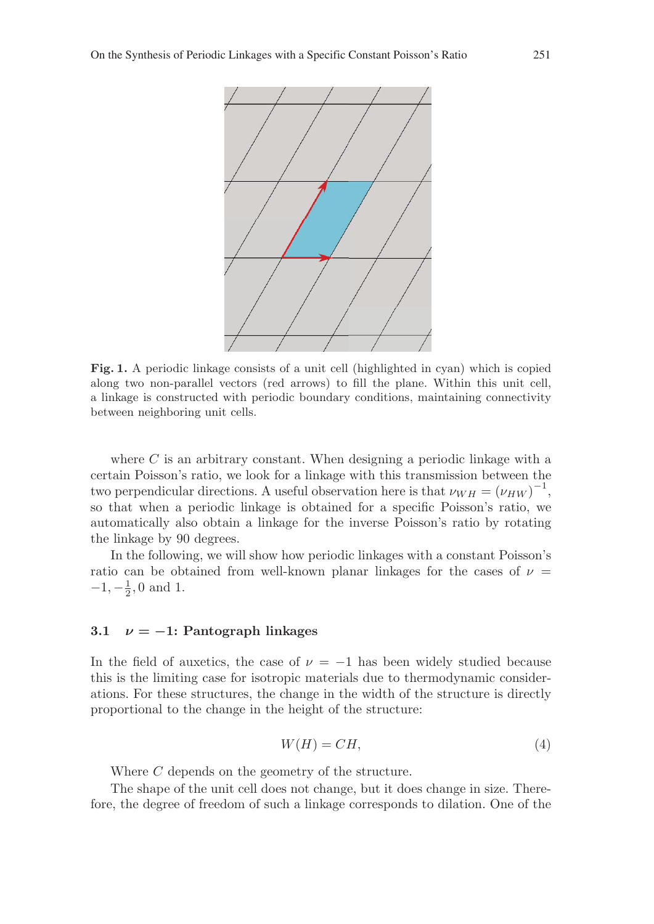

**Fig. 1.** A periodic linkage consists of a unit cell (highlighted in cyan) which is copied along two non-parallel vectors (red arrows) to fill the plane. Within this unit cell, a linkage is constructed with periodic boundary conditions, maintaining connectivity between neighboring unit cells.

where  $C$  is an arbitrary constant. When designing a periodic linkage with a certain Poisson's ratio, we look for a linkage with this transmission between the two perpendicular directions. A useful observation here is that  $\nu_{WH} = (\nu_{HW})^{-1}$ , so that when a periodic linkage is obtained for a specific Poisson's ratio, we automatically also obtain a linkage for the inverse Poisson's ratio by rotating the linkage by 90 degrees.

In the following, we will show how periodic linkages with a constant Poisson's ratio can be obtained from well-known planar linkages for the cases of  $\nu$  =  $-1, -\frac{1}{2}, 0$  and 1.

#### **3.1** *<sup>ν</sup>* **=** *<sup>−</sup>***1: Pantograph linkages**

In the field of auxetics, the case of  $\nu = -1$  has been widely studied because this is the limiting case for isotropic materials due to thermodynamic considerations. For these structures, the change in the width of the structure is directly proportional to the change in the height of the structure:

$$
W(H) = CH,\t\t(4)
$$

Where C depends on the geometry of the structure.

The shape of the unit cell does not change, but it does change in size. Therefore, the degree of freedom of such a linkage corresponds to dilation. One of the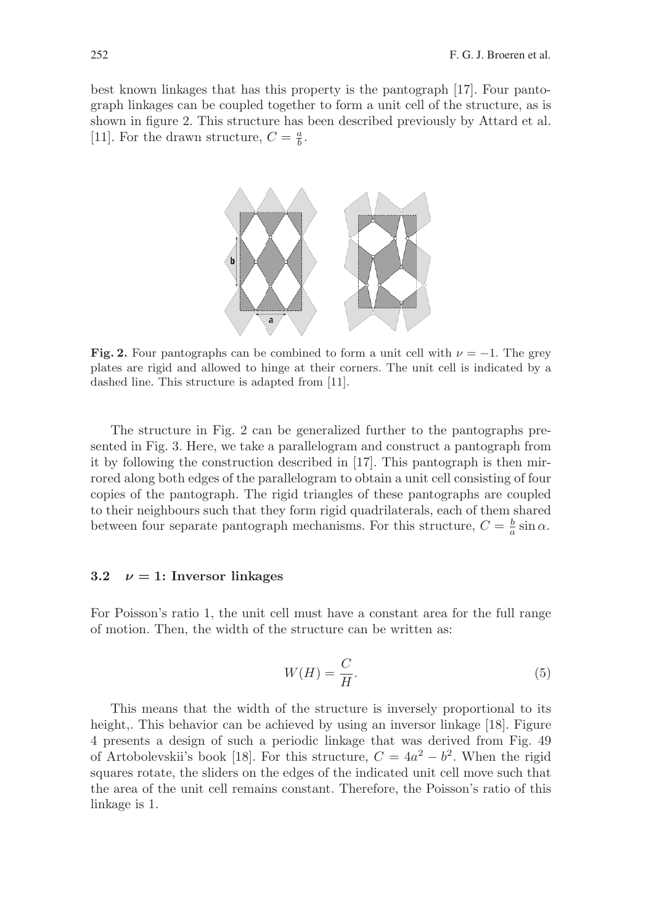best known linkages that has this property is the pantograph [17]. Four pantograph linkages can be coupled together to form a unit cell of the structure, as is shown in figure 2. This structure has been described previously by Attard et al. [11]. For the drawn structure,  $C = \frac{a}{b}$ .



**Fig. 2.** Four pantographs can be combined to form a unit cell with  $\nu = -1$ . The grey plates are rigid and allowed to hinge at their corners. The unit cell is indicated by a dashed line. This structure is adapted from [11].

The structure in Fig. 2 can be generalized further to the pantographs presented in Fig. 3. Here, we take a parallelogram and construct a pantograph from it by following the construction described in [17]. This pantograph is then mirrored along both edges of the parallelogram to obtain a unit cell consisting of four copies of the pantograph. The rigid triangles of these pantographs are coupled to their neighbours such that they form rigid quadrilaterals, each of them shared between four separate pantograph mechanisms. For this structure,  $C = \frac{b}{a} \sin \alpha$ .

#### **3.2**  $\nu = 1$ : Inversor linkages

For Poisson's ratio 1, the unit cell must have a constant area for the full range of motion. Then, the width of the structure can be written as:

$$
W(H) = \frac{C}{H}.\tag{5}
$$

This means that the width of the structure is inversely proportional to its height,. This behavior can be achieved by using an inversor linkage [18]. Figure 4 presents a design of such a periodic linkage that was derived from Fig. 49 of Artobolevskii's book [18]. For this structure,  $C = 4a^2 - b^2$ . When the rigid squares rotate, the sliders on the edges of the indicated unit cell move such that the area of the unit cell remains constant. Therefore, the Poisson's ratio of this linkage is 1.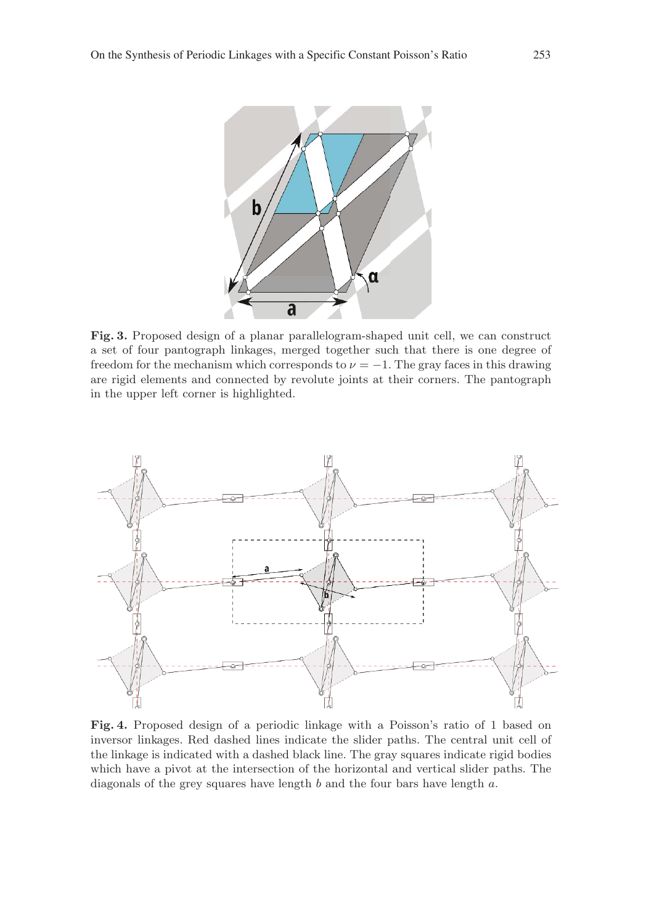

**Fig. 3.** Proposed design of a planar parallelogram-shaped unit cell, we can construct a set of four pantograph linkages, merged together such that there is one degree of freedom for the mechanism which corresponds to  $\nu = -1$ . The gray faces in this drawing are rigid elements and connected by revolute joints at their corners. The pantograph in the upper left corner is highlighted.



**Fig. 4.** Proposed design of a periodic linkage with a Poisson's ratio of 1 based on inversor linkages. Red dashed lines indicate the slider paths. The central unit cell of the linkage is indicated with a dashed black line. The gray squares indicate rigid bodies which have a pivot at the intersection of the horizontal and vertical slider paths. The diagonals of the grey squares have length b and the four bars have length a.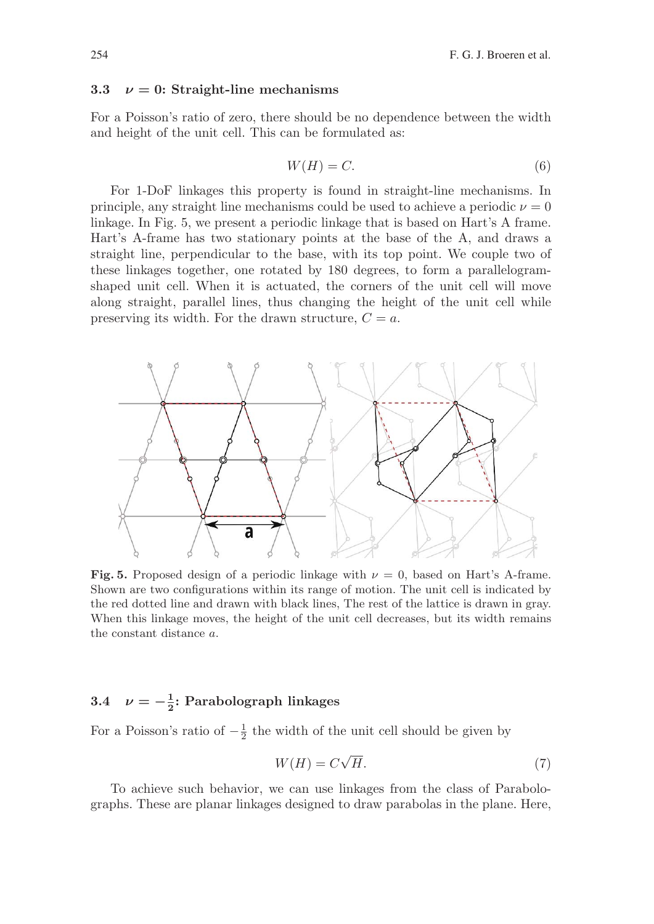#### **3.3**  $\nu = 0$ : Straight-line mechanisms

For a Poisson's ratio of zero, there should be no dependence between the width and height of the unit cell. This can be formulated as:

$$
W(H) = C.\t\t(6)
$$

For 1-DoF linkages this property is found in straight-line mechanisms. In principle, any straight line mechanisms could be used to achieve a periodic  $\nu = 0$ linkage. In Fig. 5, we present a periodic linkage that is based on Hart's A frame. Hart's A-frame has two stationary points at the base of the A, and draws a straight line, perpendicular to the base, with its top point. We couple two of these linkages together, one rotated by 180 degrees, to form a parallelogramshaped unit cell. When it is actuated, the corners of the unit cell will move along straight, parallel lines, thus changing the height of the unit cell while preserving its width. For the drawn structure,  $C = a$ .



**Fig. 5.** Proposed design of a periodic linkage with  $\nu = 0$ , based on Hart's A-frame. Shown are two configurations within its range of motion. The unit cell is indicated by the red dotted line and drawn with black lines, The rest of the lattice is drawn in gray. When this linkage moves, the height of the unit cell decreases, but its width remains the constant distance a.

# **3.4**  $\nu = -\frac{1}{2}$ **: Parabolograph linkages**

For a Poisson's ratio of  $-\frac{1}{2}$  the width of the unit cell should be given by

$$
W(H) = C\sqrt{H}.
$$
\n<sup>(7)</sup>

To achieve such behavior, we can use linkages from the class of Parabolographs. These are planar linkages designed to draw parabolas in the plane. Here,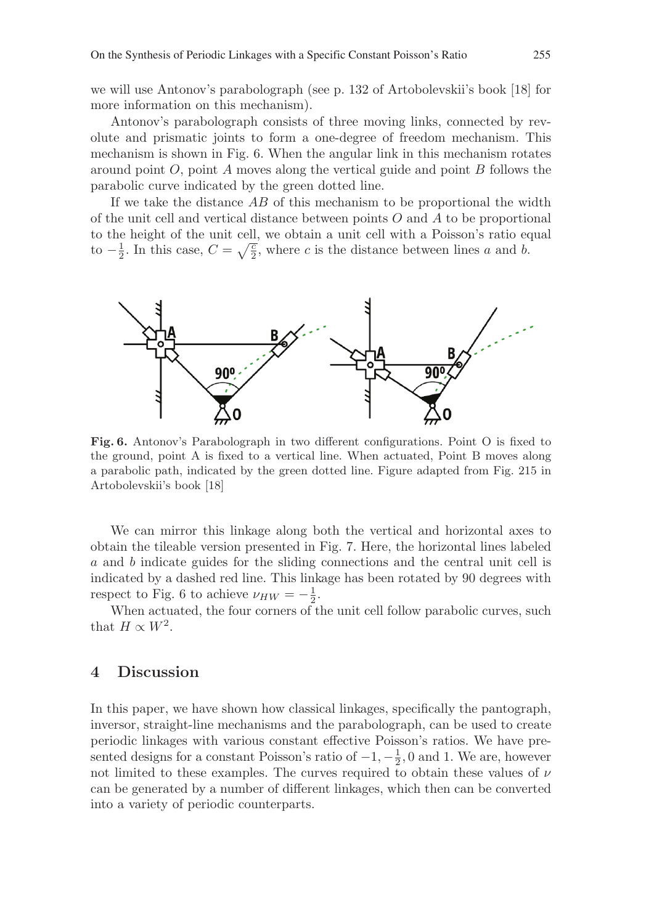we will use Antonov's parabolograph (see p. 132 of Artobolevskii's book [18] for more information on this mechanism).

Antonov's parabolograph consists of three moving links, connected by revolute and prismatic joints to form a one-degree of freedom mechanism. This mechanism is shown in Fig. 6. When the angular link in this mechanism rotates around point  $O$ , point  $A$  moves along the vertical guide and point  $B$  follows the parabolic curve indicated by the green dotted line.

If we take the distance  $AB$  of this mechanism to be proportional the width of the unit cell and vertical distance between points  $O$  and  $A$  to be proportional to the height of the unit cell, we obtain a unit cell with a Poisson's ratio equal to  $-\frac{1}{2}$ . In this case,  $C = \sqrt{\frac{c}{2}}$ , where c is the distance between lines a and b.



**Fig. 6.** Antonov's Parabolograph in two different configurations. Point O is fixed to the ground, point A is fixed to a vertical line. When actuated, Point B moves along a parabolic path, indicated by the green dotted line. Figure adapted from Fig. 215 in Artobolevskii's book [18]

We can mirror this linkage along both the vertical and horizontal axes to obtain the tileable version presented in Fig. 7. Here, the horizontal lines labeled a and b indicate guides for the sliding connections and the central unit cell is indicated by a dashed red line. This linkage has been rotated by 90 degrees with respect to Fig. 6 to achieve  $\nu_{HW} = -\frac{1}{2}$ .

When actuated, the four corners of the unit cell follow parabolic curves, such that  $H \propto W^2$ .

# **4 Discussion**

In this paper, we have shown how classical linkages, specifically the pantograph, inversor, straight-line mechanisms and the parabolograph, can be used to create periodic linkages with various constant effective Poisson's ratios. We have presented designs for a constant Poisson's ratio of  $-1, -\frac{1}{2}, 0$  and 1. We are, however not limited to these examples. The curves required to obtain these values of  $\nu$ can be generated by a number of different linkages, which then can be converted into a variety of periodic counterparts.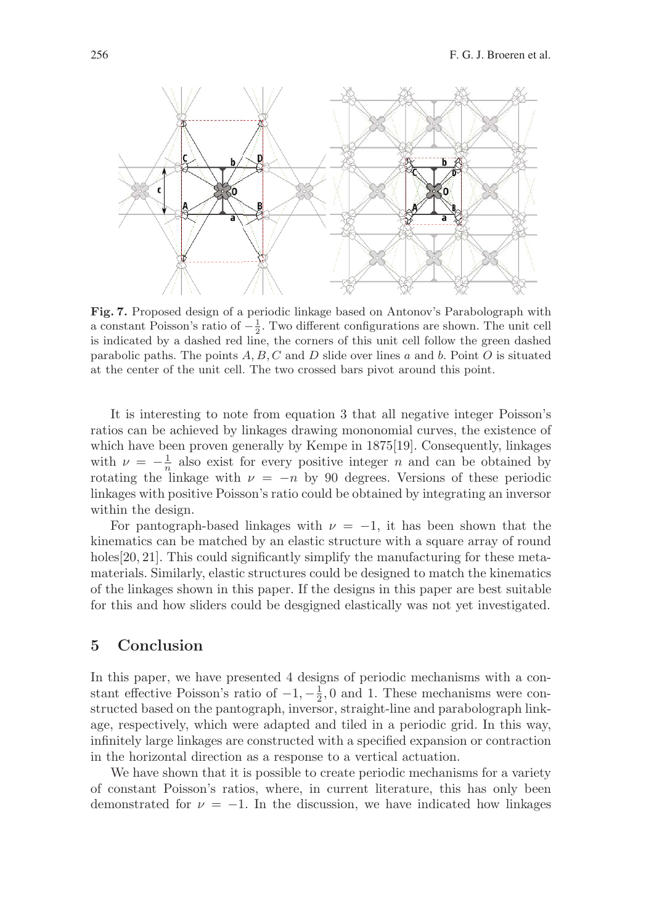

**Fig. 7.** Proposed design of a periodic linkage based on Antonov's Parabolograph with a constant Poisson's ratio of  $-\frac{1}{2}$ . Two different configurations are shown. The unit cell is indicated by a dashed red line, the corners of this unit cell follow the green dashed parabolic paths. The points  $A, B, C$  and D slide over lines a and b. Point O is situated at the center of the unit cell. The two crossed bars pivot around this point.

It is interesting to note from equation 3 that all negative integer Poisson's ratios can be achieved by linkages drawing mononomial curves, the existence of which have been proven generally by Kempe in 1875[19]. Consequently, linkages with  $\nu = -\frac{1}{n}$  also exist for every positive integer n and can be obtained by rotating the linkage with  $\nu = -n$  by 90 degrees. Versions of these periodic linkages with positive Poisson's ratio could be obtained by integrating an inversor within the design.

For pantograph-based linkages with  $\nu = -1$ , it has been shown that the kinematics can be matched by an elastic structure with a square array of round holes [20, 21]. This could significantly simplify the manufacturing for these metamaterials. Similarly, elastic structures could be designed to match the kinematics of the linkages shown in this paper. If the designs in this paper are best suitable for this and how sliders could be desgigned elastically was not yet investigated.

# **5 Conclusion**

In this paper, we have presented 4 designs of periodic mechanisms with a constant effective Poisson's ratio of  $-1, -\frac{1}{2}, 0$  and 1. These mechanisms were constructed based on the pantograph, inversor, straight-line and parabolograph linkage, respectively, which were adapted and tiled in a periodic grid. In this way, infinitely large linkages are constructed with a specified expansion or contraction in the horizontal direction as a response to a vertical actuation.

We have shown that it is possible to create periodic mechanisms for a variety of constant Poisson's ratios, where, in current literature, this has only been demonstrated for  $\nu = -1$ . In the discussion, we have indicated how linkages